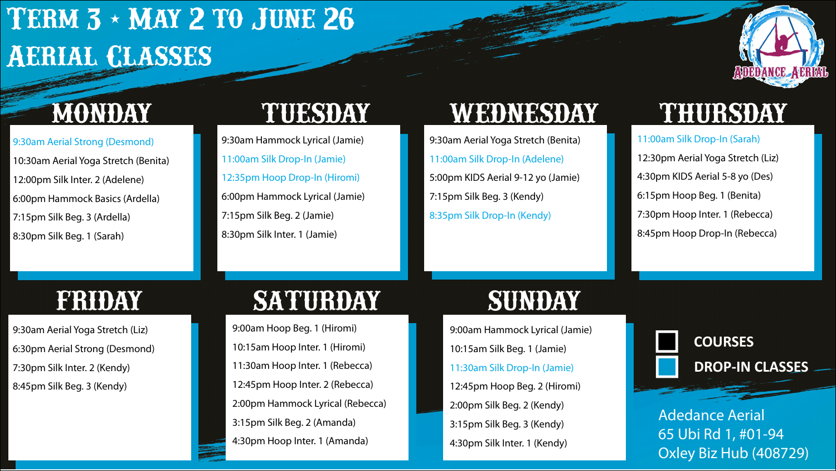# **Term 3 - May 2 to June 26 Aerial Classes**



9:30am Aerial Strong (Desmond) 10:30am Aerial Yoga Stretch (Benita) 12:00pm Silk Inter. 2 (Adelene) 6:00pm Hammock Basics (Ardella) 7:15pm Silk Beg. 3 (Ardella) 8:30pm Silk Beg. 1 (Sarah)

9:30am Hammock Lyrical (Jamie) 11:00am Silk Drop-In (Jamie) 12:35pm Hoop Drop-In (Hiromi) 6:00pm Hammock Lyrical (Jamie) 7:15pm Silk Beg. 2 (Jamie) 8:30pm Silk Inter. 1 (Jamie)

## **MONDAY TUESDAY WEDNESDAY THURSDAY**

9:30am Aerial Yoga Stretch (Benita) 11:00am Silk Drop-In (Adelene) 5:00pm KIDS Aerial 9-12 yo (Jamie) 7:15pm Silk Beg. 3 (Kendy) 8:35pm Silk Drop-In (Kendy)

11:00am Silk Drop-In (Sarah) 12:30pm Aerial Yoga Stretch (Liz) 4:30pm KIDS Aerial 5-8 yo (Des) 6:15pm Hoop Beg. 1 (Benita) 7:30pm Hoop Inter. 1 (Rebecca) 8:45pm Hoop Drop-In (Rebecca)

9:30am Aerial Yoga Stretch (Liz) 6:30pm Aerial Strong (Desmond) 7:30pm Silk Inter. 2 (Kendy) 8:45pm Silk Beg. 3 (Kendy)

# **FRIDAY SATURDAY SUNDAY**

9:00am Hoop Beg. 1 (Hiromi) 10:15am Hoop Inter. 1 (Hiromi) 11:30am Hoop Inter. 1 (Rebecca) 12:45pm Hoop Inter. 2 (Rebecca) 2:00pm Hammock Lyrical (Rebecca) 3:15pm Silk Beg. 2 (Amanda) 4:30pm Hoop Inter. 1 (Amanda)

9:00am Hammock Lyrical (Jamie) 10:15am Silk Beg. 1 (Jamie) 11:30am Silk Drop-In (Jamie) 12:45pm Hoop Beg. 2 (Hiromi) 2:00pm Silk Beg. 2 (Kendy) 3:15pm Silk Beg. 3 (Kendy) 4:30pm Silk Inter. 1 (Kendy)



Adedance Aerial 65 Ubi Rd 1, #01-94 Oxley Biz Hub (408729)